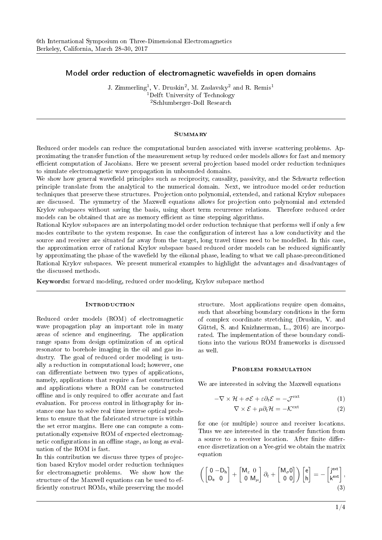# Model order reduction of electromagnetic wavefields in open domains

J. Zimmerling<sup>1</sup>, V. Druskin<sup>2</sup>, M. Zaslavsky<sup>2</sup> and R. Remis<sup>1</sup> <sup>1</sup>Delft University of Technology <sup>2</sup>Schlumberger-Doll Research

### **SUMMARY**

Reduced order models can reduce the computational burden associated with inverse scattering problems. Approximating the transfer function of the measurement setup by reduced order models allows for fast and memory efficient computation of Jacobians. Here we present several projection based model order reduction techniques to simulate electromagnetic wave propagation in unbounded domains.

We show how general wavefield principles such as reciprocity, causality, passivity, and the Schwartz reflection principle translate from the analytical to the numerical domain. Next, we introduce model order reduction techniques that preserve these structures. Projection onto polynomial, extended, and rational Krylov subspaces are discussed. The symmetry of the Maxwell equations allows for projection onto polynomial and extended Krylov subspaces without saving the basis, using short term recurrence relations. Therefore reduced order models can be obtained that are as memory efficient as time stepping algorithms.

Rational Krylov subspaces are an interpolating model order reduction technique that performs well if only a few modes contribute to the system response. In case the configuration of interest has a low conductivity and the source and receiver are situated far away from the target, long travel times need to be modelled. In this case, the approximation error of rational Krylov subspace based reduced order models can be reduced significantly by approximating the phase of the wavefield by the eikonal phase, leading to what we call phase-preconditioned Rational Krylov subspaces. We present numerical examples to highlight the advantages and disadvantages of the discussed methods.

Keywords: forward modeling, reduced order modeling, Krylov subspace method

### **INTRODUCTION**

Reduced order models (ROM) of electromagnetic wave propagation play an important role in many areas of science and engineering. The application range spans from design optimization of an optical resonator to borehole imaging in the oil and gas industry. The goal of reduced order modeling is usually a reduction in computational load; however, one can differentiate between two types of applications, namely, applications that require a fast construction and applications where a ROM can be constructed offline and is only required to offer accurate and fast evaluation. For process control in lithography for instance one has to solve real time inverse optical problems to ensure that the fabricated structure is within the set error margins. Here one can compute a computationally expensive ROM of expected electromagnetic configurations in an offline stage, as long as evaluation of the ROM is fast.

In this contribution we discuss three types of projection based Krylov model order reduction techniques for electromagnetic problems. We show how the structure of the Maxwell equations can be used to ef ficiently construct ROMs, while preserving the model structure. Most applications require open domains, such that absorbing boundary conditions in the form of complex coordinate stretching (Druskin, V. and Güttel, S. and Knizhnerman, L., 2016) are incorporated. The implementation of these boundary conditions into the various ROM frameworks is discussed as well.

## PROBLEM FORMULATION

We are interested in solving the Maxwell equations

$$
-\nabla \times \mathcal{H} + \sigma \mathcal{E} + \varepsilon \partial_t \mathcal{E} = -\mathcal{J}^{\text{ext}} \tag{1}
$$

$$
\nabla \times \mathcal{E} + \mu \partial_t \mathcal{H} = -\mathcal{K}^{\text{ext}} \tag{2}
$$

for one (or multiple) source and receiver locations. Thus we are interested in the transfer function from a source to a receiver location. After finite difference discretization on a Yee-grid we obtain the matrix equation

$$
\left(\begin{bmatrix} 0 & -D_h \\ D_e & 0 \end{bmatrix} + \begin{bmatrix} M_{\varepsilon} & 0 \\ 0 & M_{\mu} \end{bmatrix} \partial_t + \begin{bmatrix} M_{\sigma} 0 \\ 0 & 0 \end{bmatrix} \right) \begin{bmatrix} e \\ h \end{bmatrix} = - \begin{bmatrix} j^{ext} \\ k^{ext} \end{bmatrix},
$$
\n(3)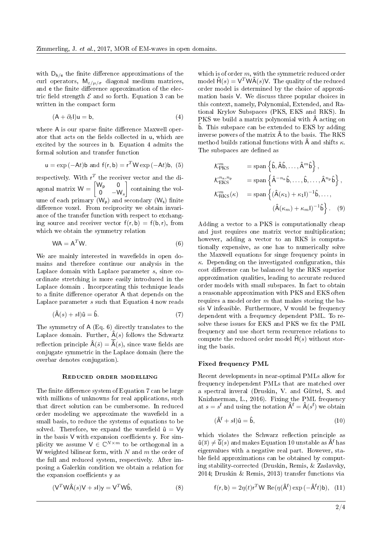with  $D_{h/e}$  the finite difference approximations of the curl operators,  $M_{\varepsilon/\mu/\sigma}$  diagonal medium matrices, and e the finite difference approximation of the electric field strength  $\mathcal E$  and so forth. Equation 3 can be written in the compact form

$$
(\mathsf{A} + \partial_t \mathsf{I})\mathsf{u} = \mathsf{b},\tag{4}
$$

where A is our sparse finite difference Maxwell operator that acts on the fields collected in u, which are excited by the sources in b. Equation 4 admits the formal solution and transfer function

$$
\mathbf{u} = \exp(-\mathbf{A}t)\mathbf{b} \text{ and } \mathbf{f}(\mathbf{r}, \mathbf{b}) = \mathbf{r}^T \mathbf{W} \exp(-\mathbf{A}t)\mathbf{b}, \tag{5}
$$

respectively. With  $r^T$  the receiver vector and the diagonal matrix  $W = \begin{bmatrix} W_p & 0 \\ 0 & W_p \end{bmatrix}$ 0  $-W_s$  containing the volume of each primary  $(W_p)$  and secondary  $(W_s)$  finite difference voxel. From reciprocity we obtain invariance of the transfer function with respect to exchanging source and receiver vector  $f(r, b) = f(b, r)$ , from which we obtain the symmetry relation

$$
WA = A^T W.
$$
 (6)

We are mainly interested in wavefields in open domains and therefore continue our analysis in the Laplace domain with Laplace parameter s, since coordinate stretching is more easily introduced in the Laplace domain . Incorporating this technique leads to a finite difference operator A that depends on the Laplace parameter s such that Equation 4 now reads

$$
(\hat{\mathsf{A}}(s) + s\mathsf{I})\hat{\mathsf{u}} = \hat{\mathsf{b}}.\tag{7}
$$

The symmetry of A (Eq. 6) directly translates to the Laplace domain. Further,  $\hat{A}(s)$  follows the Schwartz reflection principle  $\hat{A}(\bar{s}) = \hat{A}(s)$ , since wave fields are conjugate symmetric in the Laplace domain (here the overbar denotes conjugation).

## Reduced order modelling

The finite difference system of Equation 7 can be large with millions of unknowns for real applications, such that direct solution can be cumbersome. In reduced order modeling we approximate the wavefield in a small basis, to reduce the systems of equations to be solved. Therefore, we expand the wavefield  $\hat{u} = V_y$ in the basis  $V$  with expansion coefficients  $y$ . For simplicity we assume  $V \in \mathbb{C}^{N \times m}$  to be orthogonal in a W weighted bilinear form, with  $N$  and  $m$  the order of the full and reduced system, respectively. After imposing a Galerkin condition we obtain a relation for the expansion coefficients y as

$$
(\mathsf{V}^T \mathsf{W} \hat{\mathsf{A}}(s) \mathsf{V} + s\mathsf{I}) \mathsf{y} = \mathsf{V}^T \mathsf{W} \hat{\mathsf{b}},\tag{8}
$$

which is of order  $m$ , with the symmetric reduced order model  $\hat{\mathsf{H}}(s) = \mathsf{V}^T \mathsf{W} \hat{\mathsf{A}}(s) \mathsf{V}$ . The quality of the reduced order model is determined by the choice of approximation basis V. We discuss three popular choices in this context, namely, Polynomial, Extended, and Rational Krylov Subspaces (PKS, EKS and RKS). In PKS we build a matrix polynomial with  $\hat{A}$  acting on  $\hat{b}$ . This subspace can be extended to EKS by adding inverse powers of the matrix  $\hat{A}$  to the basis. The RKS method builds rational functions with  $\hat{A}$  and shifts  $\kappa$ . The subspaces are defined as

$$
\mathcal{K}_{\text{PKS}}^{m} = \text{span}\left\{\hat{\mathbf{b}}, \hat{\mathbf{A}}\hat{\mathbf{b}}, \dots, \hat{\mathbf{A}}^{m}\hat{\mathbf{b}}\right\},
$$
  

$$
\mathcal{K}_{\text{EKS}}^{n_n, n_p} = \text{span}\left\{\hat{\mathbf{A}}^{-n_n}\hat{\mathbf{b}}, \dots, \hat{\mathbf{b}}, \dots, \hat{\mathbf{A}}^{n_p}\hat{\mathbf{b}}\right\},
$$
  

$$
\mathcal{K}_{\text{RKS}}^{m}(\kappa) = \text{span}\left\{(\hat{\mathbf{A}}(\kappa_1) + \kappa_1\mathbf{I})^{-1}\hat{\mathbf{b}}, \dots, \right.
$$
  

$$
(\hat{\mathbf{A}}(\kappa_m) + \kappa_m\mathbf{I})^{-1}\hat{\mathbf{b}}\right\}. \quad (9)
$$

Adding a vector to a PKS is computationally cheap and just requires one matrix vector multiplication; however, adding a vector to an RKS is computationally expensive, as one has to numerically solve the Maxwell equations for singe frequency points in  $\kappa$ . Depending on the investigated configuration, this cost difference can be balanced by the RKS superior approximation qualities, leading to accurate reduced order models with small subspaces. In fact to obtain a reasonable approximation with PKS and EKS often requires a model order  $m$  that makes storing the basis V infeasible. Furthermore, V would be frequency dependent with a frequency dependent PML. To resolve these issues for EKS and PKS we fix the PML frequency and use short term recurrence relations to compute the reduced order model  $\hat{H}(s)$  without storing the basis.

### Fixed frequency PML

Recent developments in near-optimal PMLs allow for frequency independent PMLs that are matched over a spectral inveral (Druskin, V. and Güttel, S. and Knizhnerman, L., 2016). Fixing the PML frequency at  $s = s^f$  and using the notation  $\hat{A}^f = \hat{A}(s^f)$  we obtain

$$
(\hat{\mathsf{A}}^{\mathsf{f}} + s\mathsf{I})\hat{\mathsf{u}} = \hat{\mathsf{b}},\tag{10}
$$

which violates the Schwarz reflection principle as  $\hat{\mathbf{u}}(\overline{s}) \neq \overline{\hat{\mathbf{u}}}(s)$  and makes Equation 10 unstable as  $\hat{\mathbf{A}}^{\text{f}}$  has eigenvalues with a negative real part. However, stable field approximations can be obtained by computing stability-corrected (Druskin, Remis, & Zaslavsky, 2014; Druskin & Remis, 2013) transfer functions via

$$
f(r, b) = 2\eta(t)r^T W \operatorname{Re}(\eta(\hat{A}^f) \exp(-\hat{A}^f t)b), \quad (11)
$$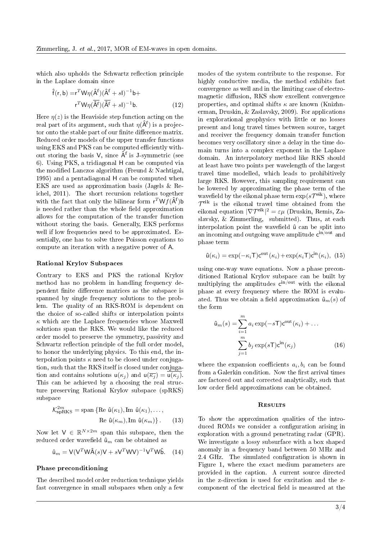which also upholds the Schwartz reflection principle in the Laplace domain since

$$
\hat{\mathbf{f}}(\mathbf{r}, \mathbf{b}) = \mathbf{r}^T \mathbf{W} \eta (\hat{\mathbf{A}}^{\mathbf{f}}) (\hat{\mathbf{A}}^{\mathbf{f}} + s\mathbf{I})^{-1} \mathbf{b} +
$$

$$
\mathbf{r}^T \mathbf{W} \eta (\overline{\hat{\mathbf{A}}^{\mathbf{f}}} ) (\overline{\hat{\mathbf{A}}^{\mathbf{f}}} + s\mathbf{I})^{-1} \mathbf{b}.
$$
 (12)

Here  $\eta(z)$  is the Heaviside step function acting on the real part of its argument, such that  $\eta(\hat{A}^f)$  is a projector onto the stable part of our finite difference matrix. Reduced order models of the upper transfer functions using EKS and PKS can be computed efficiently without storing the basis  $V$ , since  $\hat{A}^f$  is J-symmetric (see 6). Using PKS, a tridiagonal H can be computed via the modified Lanczos algorithm (Freund  $&$  Nachtigal, 1995) and a pentadiagonal H can be computed when EKS are used as approximation basis (Jagels & Reichel, 2011). The short recursion relations together with the fact that only the bilinear form  $\mathsf{r}^T\mathsf{W} \breve{f}(\hat{\mathsf{A}}^{\text{f}})$ b is needed rather than the whole field approximation allows for the computation of the transfer function without storing the basis. Generally, EKS performs well if low frequencies need to be approximated. Essentially, one has to solve three Poisson equations to compute an iteration with a negative power of A.

## Rational Krylov Subspaces

Contrary to EKS and PKS the rational Krylov method has no problem in handling frequency dependent finite difference matrices as the subspace is spanned by single frequency solutions to the problem. The quality of an RKS-ROM is dependent on the choice of so-called shifts or interpolation points  $\kappa$  which are the Laplace frequencies whose Maxwell solutions span the RKS. We would like the reduced order model to preserve the symmetry, passivity and Schwartz reflection principle of the full order model, to honor the underlying physics. To this end, the interpolation points  $\kappa$  need to be closed under conjugation, such that the RKS itself is closed under conjugation and contains solutions  $u(\kappa_i)$  and  $u(\overline{\kappa_i}) = \overline{u(\kappa_i)}$ . This can be achieved by a choosing the real structure preserving Rational Krylov subspace (spRKS) subspace

$$
\mathcal{K}_{\text{spRKS}}^{2m} = \text{span}\left\{\text{Re }\hat{\mathsf{u}}(\kappa_1), \text{Im }\hat{\mathsf{u}}(\kappa_1), \dots, \right.\n\quad\n\text{Re }\hat{\mathsf{u}}(\kappa_m), \text{Im }\hat{\mathsf{u}}(\kappa_m)\right\}.\n\tag{13}
$$

Now let  $V \in \mathbb{R}^{N \times 2m}$  span this subspace, then the reduced order wavefield  $\hat{u}_m$  can be obtained as

$$
\hat{\mathbf{u}}_m = \mathsf{V}(\mathsf{V}^T \mathsf{W} \hat{\mathsf{A}}(s) \mathsf{V} + s \mathsf{V}^T \mathsf{W} \mathsf{V})^{-1} \mathsf{V}^T \mathsf{W} \hat{\mathsf{b}}.
$$
 (14)

### Phase preconditioning

The described model order reduction technique yields fast convergence in small subspaces when only a few

modes of the system contribute to the response. For highly conductive media, the method exhibits fast convergence as well and in the limiting case of electromagnetic diffusion, RKS show excellent convergence properties, and optimal shifts  $\kappa$  are known (Knizhnerman, Druskin, & Zaslavsky, 2009). For applications in explorational geophysics with little or no losses present and long travel times between source, target and receiver the frequency domain transfer function becomes very oscillatory since a delay in the time domain turns into a complex exponent in the Laplace domain. An interpolatory method like RKS should at least have two points per wavelength of the largest travel time modelled, which leads to prohibitively large RKS. However, this sampling requirement can be lowered by approximating the phase term of the wavefield by the eikonal phase term  $\exp(s\mathcal{T}^{\text{eik}})$ , where  $\mathcal{T}^{\text{eik}}$  is the eikonal travel time obtained from the eikonal equation  $|\nabla \mathcal{T}^{\text{eik}}|^2 = \varepsilon \mu$  (Druskin, Remis, Zaslavsky, & Zimmerling, submitted). Thus, at each interpolation point the wavefield û can be split into an incoming and outgoing wave amplitude  $c^{\text{in}/\text{out}}$  and phase term

$$
\hat{\mathbf{u}}(\kappa_i) = \exp(-\kappa_i \mathbf{T}) \mathbf{c}^{\text{out}}(\kappa_i) + \exp(\kappa_i \mathbf{T}) \mathbf{c}^{\text{in}}(\kappa_i), (15)
$$

using one-way wave equations. Now a phase preconditioned Rational Krylov subspace can be built by multiplying the amplitudes  $c^{\text{in/out}}$  with the eikonal phase at every frequency where the ROM is evaluated. Thus we obtain a field approximation  $\hat{u}_m(s)$  of the form

$$
\hat{\mathbf{u}}_m(s) = \sum_{i=1}^m a_i \exp(-s\mathsf{T}) \mathsf{c}^{\text{out}}(\kappa_i) + \dots
$$

$$
\sum_{j=1}^m b_j \exp(s\mathsf{T}) \mathsf{c}^{\text{in}}(\kappa_j)
$$
(16)

where the expansion coefficients  $a_i, b_i$  can be found from a Galerkin condition. Now the first arrival times are factored out and corrected analytically, such that low order field approximations can be obtained.

### **RESULTS**

To show the approximation qualities of the introduced ROMs we consider a configuration arising in exploration with a ground penetrating radar (GPR). We investigate a lossy subsurface with a box shaped anomaly in a frequency band between 50 MHz and 2.4 GHz. The simulated configuration is shown in Figure 1, where the exact medium parameters are provided in the caption. A current source directed in the z-direction is used for excitation and the zcomponent of the electrical field is measured at the